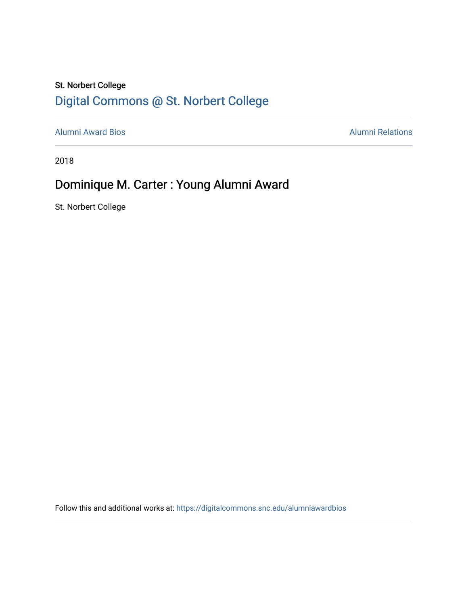### St. Norbert College [Digital Commons @ St. Norbert College](https://digitalcommons.snc.edu/)

[Alumni Award Bios](https://digitalcommons.snc.edu/alumniawardbios) **Alumni Relations** Alumni Relations

2018

## Dominique M. Carter : Young Alumni Award

St. Norbert College

Follow this and additional works at: [https://digitalcommons.snc.edu/alumniawardbios](https://digitalcommons.snc.edu/alumniawardbios?utm_source=digitalcommons.snc.edu%2Falumniawardbios%2F71&utm_medium=PDF&utm_campaign=PDFCoverPages)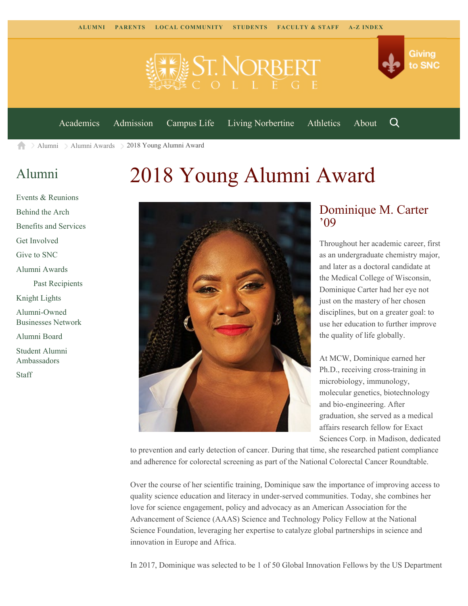

[Academics](https://www.snc.edu/academics) [Admission](https://www.snc.edu/admission) [Campus Life](https://www.snc.edu/campuslife) [Living Norbertine](https://www.snc.edu/livingnorbertine) [Athletics](https://www.snc.edu/athletics) [About](https://www.snc.edu/about)

Q

Giving

to SNC

[Alumni](https://www.snc.edu/alumni/) [Alumni Awards](https://www.snc.edu/alumni/awards/) 2018 Young Alumni Award A

#### [Alumni](https://www.snc.edu/alumni/index.html)

[Get Involved](https://www.snc.edu/alumni/getinvolved.html) [Give to SNC](http://giving.snc.edu/)

[Alumni Awards](https://www.snc.edu/alumni/awards/index.html)

[Knight Lights](https://www.snc.edu/alumni/knightlights/index.html) [Alumni-Owned](https://www.snc.edu/alumni/directory/index.html) [Businesses Network](https://www.snc.edu/alumni/directory/index.html)

[Alumni Board](https://www.snc.edu/alumni/alumniboard.html) [Student Alumni](https://www.snc.edu/alumni/saa.html) [Ambassadors](https://www.snc.edu/alumni/saa.html)

[Staff](https://www.snc.edu/alumni/contactus.html)

[Past Recipients](https://www.snc.edu/alumni/awards/recipients.html)

[Events & Reunions](https://www.snc.edu/alumni/event/index.html) [Behind the Arch](https://www.snc.edu/alumni/event/behindthearch/)

[Benefits and Services](https://www.snc.edu/alumni/benefits.html)

# 2018 Young Alumni Award



#### Dominique M. Carter '09

Throughout her academic career, first as an undergraduate chemistry major, and later as a doctoral candidate at the Medical College of Wisconsin, Dominique Carter had her eye not just on the mastery of her chosen disciplines, but on a greater goal: to use her education to further improve the quality of life globally.

At MCW, Dominique earned her Ph.D., receiving cross-training in microbiology, immunology, molecular genetics, biotechnology and bio-engineering. After graduation, she served as a medical affairs research fellow for Exact Sciences Corp. in Madison, dedicated

to prevention and early detection of cancer. During that time, she researched patient compliance and adherence for colorectal screening as part of the National Colorectal Cancer Roundtable.

Over the course of her scientific training, Dominique saw the importance of improving access to quality science education and literacy in under-served communities. Today, she combines her love for science engagement, policy and advocacy as an American Association for the Advancement of Science (AAAS) Science and Technology Policy Fellow at the National Science Foundation, leveraging her expertise to catalyze global partnerships in science and innovation in Europe and Africa.

In 2017, Dominique was selected to be 1 of 50 Global Innovation Fellows by the US Department